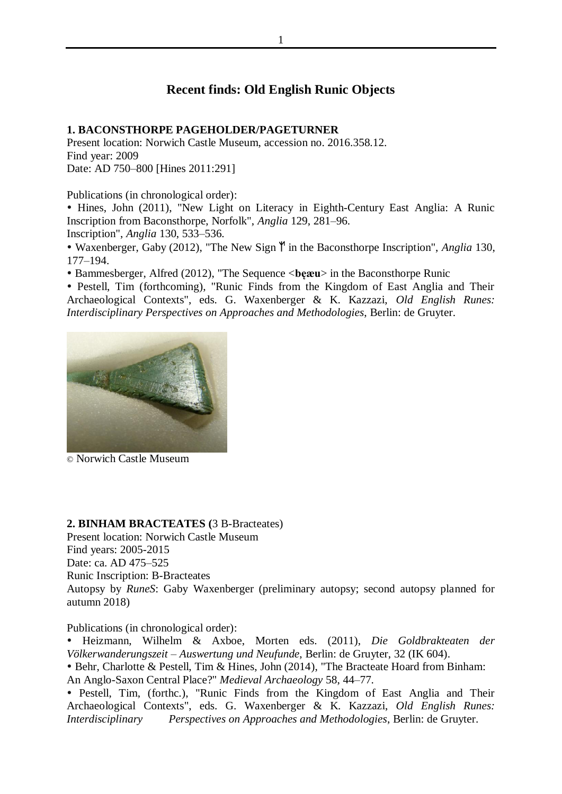# **Recent finds: Old English Runic Objects**

#### **1. BACONSTHORPE PAGEHOLDER/PAGETURNER**

Present location: Norwich Castle Museum, accession no. 2016.358.12. Find year: 2009 Date: AD 750–800 [Hines 2011:291]

Publications (in chronological order):

 Hines, John (2011), "New Light on Literacy in Eighth-Century East Anglia: A Runic Inscription from Baconsthorpe, Norfolk", *Anglia* 129, 281–96.

Inscription", *Anglia* 130, 533–536.

• Waxenberger, Gaby (2012), "The New Sign  $\mathbb{M}$  in the Baconsthorpe Inscription", *Anglia* 130, 177–194.

Bammesberger, Alfred (2012), "The Sequence <**bęæu**> in the Baconsthorpe Runic

 Pestell, Tim (forthcoming), "Runic Finds from the Kingdom of East Anglia and Their Archaeological Contexts", eds. G. Waxenberger & K. Kazzazi, *Old English Runes: Interdisciplinary Perspectives on Approaches and Methodologies*, Berlin: de Gruyter.



© Norwich Castle Museum

#### **2. BINHAM BRACTEATES (**3 B-Bracteates)

Present location: Norwich Castle Museum Find years: 2005-2015 Date: ca. AD 475–525 Runic Inscription: B-Bracteates Autopsy by *RuneS*: Gaby Waxenberger (preliminary autopsy; second autopsy planned for autumn 2018)

Publications (in chronological order):

 Heizmann, Wilhelm & Axboe, Morten eds. (2011), *Die Goldbrakteaten der Völkerwanderungszeit – Auswertung und Neufunde*, Berlin: de Gruyter, 32 (IK 604).

 Behr, Charlotte & Pestell, Tim & Hines, John (2014), "The Bracteate Hoard from Binham: An Anglo-Saxon Central Place?" *Medieval Archaeology* 58, 44–77.

• Pestell, Tim, (forthc.), "Runic Finds from the Kingdom of East Anglia and Their Archaeological Contexts", eds. G. Waxenberger & K. Kazzazi, *Old English Runes: Interdisciplinary Perspectives on Approaches and Methodologies*, Berlin: de Gruyter.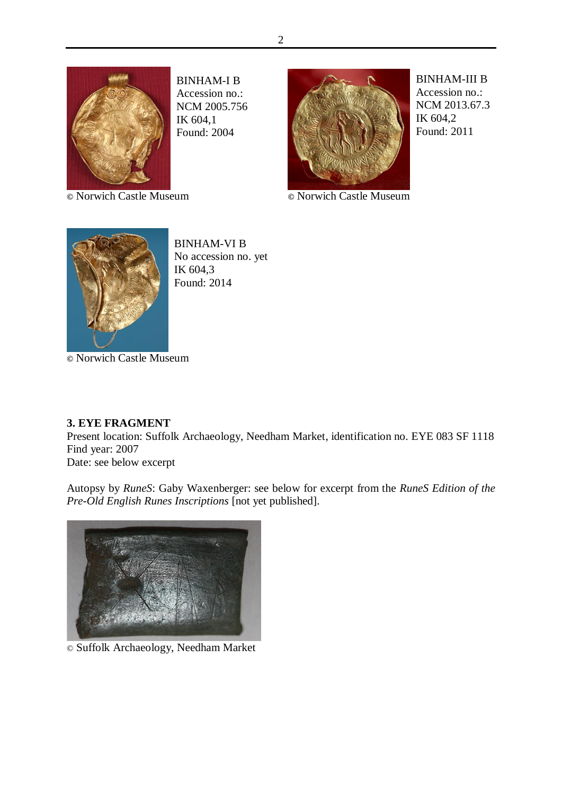

BINHAM-I B Accession no.: NCM 2005.756 IK 604,1 Found: 2004



BINHAM-III B Accession no.: NCM 2013.67.3 IK 604,2 Found: 2011

**©** Norwich Castle Museum **©** Norwich Castle Museum



BINHAM-VI B No accession no. yet IK 604,3 Found: 2014

**©** Norwich Castle Museum

## **3. EYE FRAGMENT**

Present location: Suffolk Archaeology, Needham Market, identification no. EYE 083 SF 1118 Find year: 2007

Date: see below excerpt

Autopsy by *RuneS*: Gaby Waxenberger: see below for excerpt from the *RuneS Edition of the Pre-Old English Runes Inscriptions* [not yet published].



© Suffolk Archaeology, Needham Market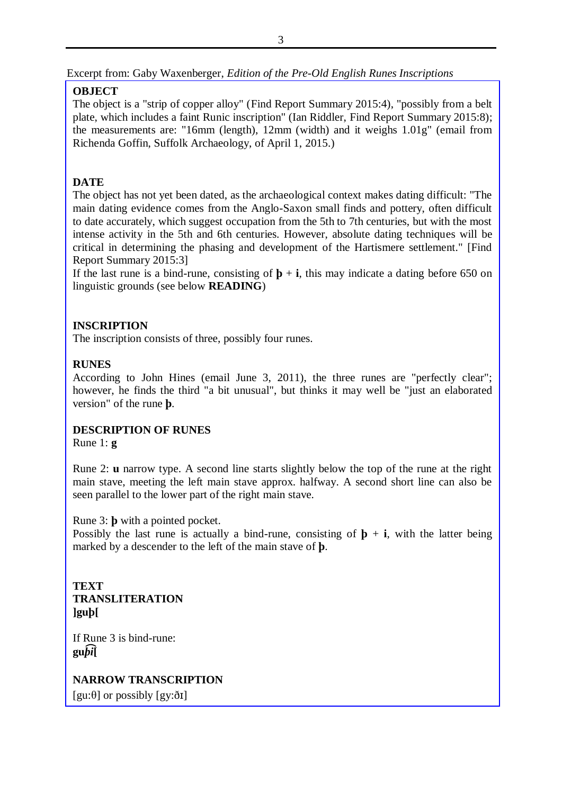Excerpt from: Gaby Waxenberger, *Edition of the Pre-Old English Runes Inscriptions*

## **OBJECT**

The object is a "strip of copper alloy" (Find Report Summary 2015:4), "possibly from a belt plate, which includes a faint Runic inscription" (Ian Riddler, Find Report Summary 2015:8); the measurements are: "16mm (length), 12mm (width) and it weighs 1.01g" (email from Richenda Goffin, Suffolk Archaeology, of April 1, 2015.)

# **DATE**

The object has not yet been dated, as the archaeological context makes dating difficult: "The main dating evidence comes from the Anglo-Saxon small finds and pottery, often difficult to date accurately, which suggest occupation from the 5th to 7th centuries, but with the most intense activity in the 5th and 6th centuries. However, absolute dating techniques will be critical in determining the phasing and development of the Hartismere settlement." [Find Report Summary 2015:3]

If the last rune is a bind-rune, consisting of  $\mathbf{p} + \mathbf{i}$ , this may indicate a dating before 650 on linguistic grounds (see below **READING**)

## **INSCRIPTION**

The inscription consists of three, possibly four runes.

## **RUNES**

According to John Hines (email June 3, 2011), the three runes are "perfectly clear"; however, he finds the third "a bit unusual", but thinks it may well be "just an elaborated version" of the rune **þ**.

## **DESCRIPTION OF RUNES**

Rune 1: **g** 

Rune 2: **u** narrow type. A second line starts slightly below the top of the rune at the right main stave, meeting the left main stave approx. halfway. A second short line can also be seen parallel to the lower part of the right main stave.

Rune 3: **þ** with a pointed pocket.

Possibly the last rune is actually a bind-rune, consisting of  $\mathbf{p} + \mathbf{i}$ , with the latter being marked by a descender to the left of the main stave of **þ**.

**TEXT TRANSLITERATION ]guþ[**

If Rune 3 is bind-rune:  $g$ **u** $\widehat{bi}$ 

**NARROW TRANSCRIPTION**

[gu: $\theta$ ] or possibly [gy: $\delta$ I]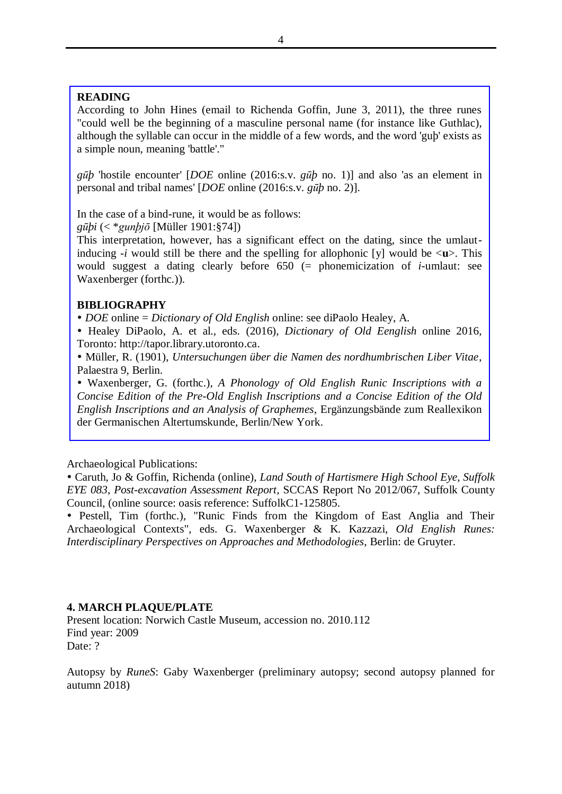#### **READING**

According to John Hines (email to Richenda Goffin, June 3, 2011), the three runes "could well be the beginning of a masculine personal name (for instance like Guthlac), although the syllable can occur in the middle of a few words, and the word 'guþ' exists as a simple noun, meaning 'battle'."

*gūþ* 'hostile encounter' [*DOE* online (2016:s.v. *gūþ* no. 1)] and also 'as an element in personal and tribal names' [*DOE* online (2016:s.v. *gūþ* no. 2)].

In the case of a bind-rune, it would be as follows:

*gūþi* (< \**gunþjō* [Müller 1901:§74])

This interpretation, however, has a significant effect on the dating, since the umlautinducing  $-i$  would still be there and the spelling for allophonic [y] would be  $\langle u \rangle$ . This would suggest a dating clearly before 650 (= phonemicization of *i*-umlaut: see Waxenberger (forthc.)).

#### **BIBLIOGRAPHY**

*DOE* online = *Dictionary of Old English* online: see diPaolo Healey, A.

 Healey DiPaolo, A. et al., eds. (2016), *Dictionary of Old Eenglish* online 2016, Toronto: http://tapor.library.utoronto.ca.

 Müller, R. (1901), *Untersuchungen über die Namen des nordhumbrischen Liber Vitae*, Palaestra 9, Berlin.

 Waxenberger, G. (forthc.), *A Phonology of Old English Runic Inscriptions with a Concise Edition of the Pre-Old English Inscriptions and a Concise Edition of the Old English Inscriptions and an Analysis of Graphemes*, Ergänzungsbände zum Reallexikon der Germanischen Altertumskunde, Berlin/New York.

Archaeological Publications:

 Caruth, Jo & Goffin, Richenda (online), *Land South of Hartismere High School Eye, Suffolk EYE 083, Post-excavation Assessment Report,* SCCAS Report No 2012/067, Suffolk County Council, (online source: oasis reference: SuffolkC1-125805.

 Pestell, Tim (forthc.), "Runic Finds from the Kingdom of East Anglia and Their Archaeological Contexts", eds. G. Waxenberger & K. Kazzazi, *Old English Runes: Interdisciplinary Perspectives on Approaches and Methodologies*, Berlin: de Gruyter.

#### **4. MARCH PLAQUE/PLATE**

Present location: Norwich Castle Museum, accession no. 2010.112 Find year: 2009 Date: ?

Autopsy by *RuneS*: Gaby Waxenberger (preliminary autopsy; second autopsy planned for autumn 2018)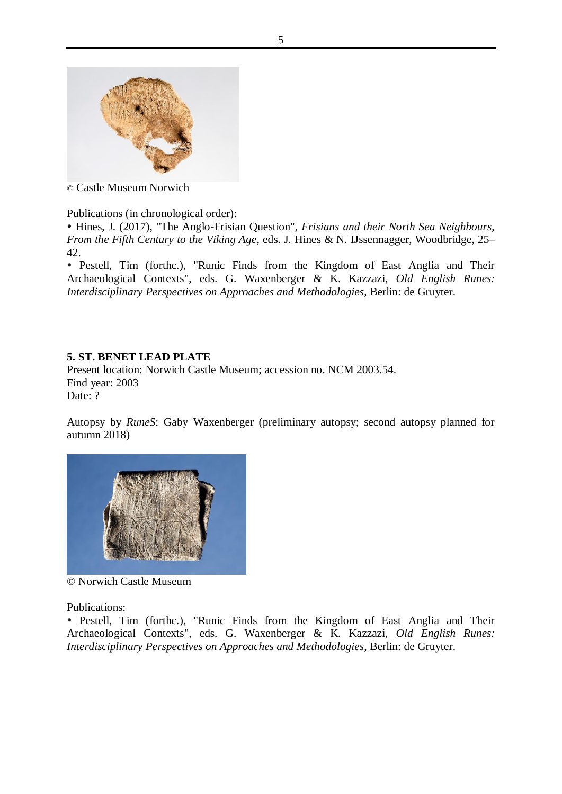

© Castle Museum Norwich

Publications (in chronological order):

 Hines, J. (2017), "The Anglo-Frisian Question", *Frisians and their North Sea Neighbours, From the Fifth Century to the Viking Age*, eds. J. Hines & N. IJssennagger, Woodbridge, 25– 42.

 Pestell, Tim (forthc.), "Runic Finds from the Kingdom of East Anglia and Their Archaeological Contexts", eds. G. Waxenberger & K. Kazzazi, *Old English Runes: Interdisciplinary Perspectives on Approaches and Methodologies*, Berlin: de Gruyter.

## **5. ST. BENET LEAD PLATE**

Present location: Norwich Castle Museum; accession no. NCM 2003.54. Find year: 2003 Date: ?

Autopsy by *RuneS*: Gaby Waxenberger (preliminary autopsy; second autopsy planned for autumn 2018)



© Norwich Castle Museum

Publications:

 Pestell, Tim (forthc.), "Runic Finds from the Kingdom of East Anglia and Their Archaeological Contexts", eds. G. Waxenberger & K. Kazzazi, *Old English Runes: Interdisciplinary Perspectives on Approaches and Methodologies*, Berlin: de Gruyter.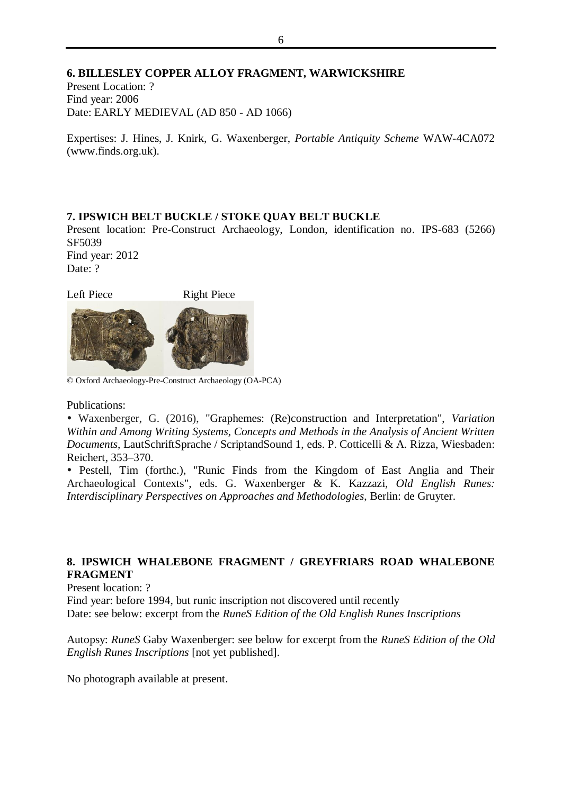#### **6. BILLESLEY COPPER ALLOY FRAGMENT, WARWICKSHIRE**

Present Location: ? Find year: 2006 Date: EARLY MEDIEVAL (AD 850 - AD 1066)

Expertises: J. Hines, J. Knirk, G. Waxenberger, *Portable Antiquity Scheme* WAW-4CA072 (www.finds.org.uk).

## **7. IPSWICH BELT BUCKLE / STOKE QUAY BELT BUCKLE**

Present location: Pre-Construct Archaeology, London, identification no. IPS-683 (5266) SF5039 Find year: 2012

Date: ?

Left Piece Right Piece



© Oxford Archaeology-Pre-Construct Archaeology (OA-PCA)

Publications:

 Waxenberger, G. (2016), "Graphemes: (Re)construction and Interpretation", *Variation Within and Among Writing Systems, Concepts and Methods in the Analysis of Ancient Written Documents*, LautSchriftSprache / ScriptandSound 1, eds. P. Cotticelli & A. Rizza, Wiesbaden: Reichert, 353–370.

 Pestell, Tim (forthc.), "Runic Finds from the Kingdom of East Anglia and Their Archaeological Contexts", eds. G. Waxenberger & K. Kazzazi, *Old English Runes: Interdisciplinary Perspectives on Approaches and Methodologies*, Berlin: de Gruyter.

#### **8. IPSWICH WHALEBONE FRAGMENT / GREYFRIARS ROAD WHALEBONE FRAGMENT**

Present location: ?

Find year: before 1994, but runic inscription not discovered until recently Date: see below: excerpt from the *RuneS Edition of the Old English Runes Inscriptions*

Autopsy: *RuneS* Gaby Waxenberger: see below for excerpt from the *RuneS Edition of the Old English Runes Inscriptions* [not yet published].

No photograph available at present.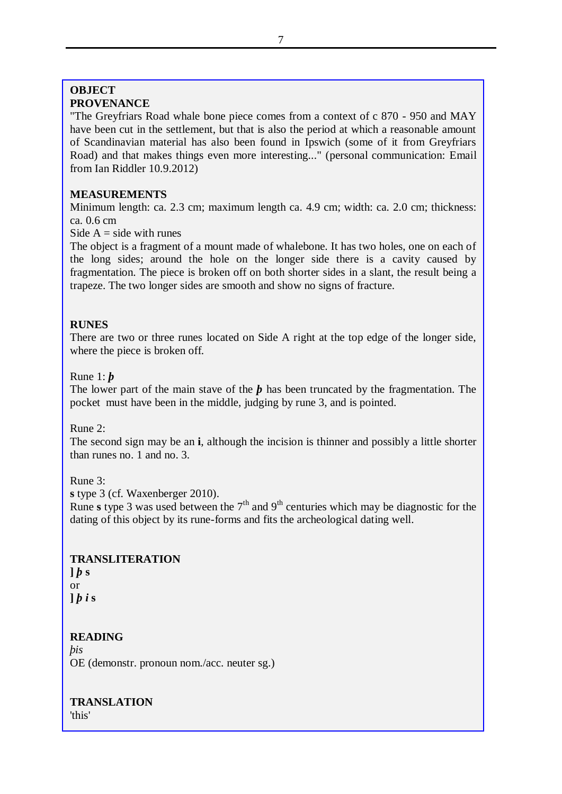## **OBJECT PROVENANCE**

"The Greyfriars Road whale bone piece comes from a context of c 870 - 950 and MAY have been cut in the settlement, but that is also the period at which a reasonable amount of Scandinavian material has also been found in Ipswich (some of it from Greyfriars Road) and that makes things even more interesting..." (personal communication: Email from Ian Riddler 10.9.2012)

## **MEASUREMENTS**

Minimum length: ca. 2.3 cm; maximum length ca. 4.9 cm; width: ca. 2.0 cm; thickness: ca. 0.6 cm

Side  $A = side$  with runes

The object is a fragment of a mount made of whalebone. It has two holes, one on each of the long sides; around the hole on the longer side there is a cavity caused by fragmentation. The piece is broken off on both shorter sides in a slant, the result being a trapeze. The two longer sides are smooth and show no signs of fracture.

## **RUNES**

There are two or three runes located on Side A right at the top edge of the longer side, where the piece is broken off.

#### Rune 1: *þ*

The lower part of the main stave of the *b* has been truncated by the fragmentation. The pocket must have been in the middle, judging by rune 3, and is pointed.

Rune 2:

The second sign may be an **i**, although the incision is thinner and possibly a little shorter than runes no. 1 and no. 3.

Rune 3:

**s** type 3 (cf. Waxenberger 2010).

Rune **s** type 3 was used between the  $7<sup>th</sup>$  and  $9<sup>th</sup>$  centuries which may be diagnostic for the dating of this object by its rune-forms and fits the archeological dating well.

## **TRANSLITERATION**

 $\frac{1}{b}$  **s** or  $\iint$  *b i* s

## **READING**

*þis* OE (demonstr. pronoun nom./acc. neuter sg.)

**TRANSLATION**

'this'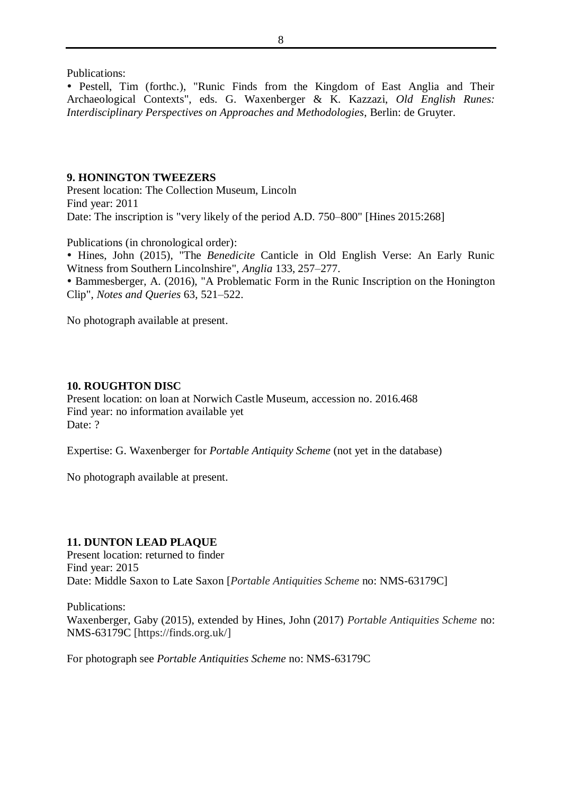Publications:

 Pestell, Tim (forthc.), "Runic Finds from the Kingdom of East Anglia and Their Archaeological Contexts", eds. G. Waxenberger & K. Kazzazi, *Old English Runes: Interdisciplinary Perspectives on Approaches and Methodologies*, Berlin: de Gruyter.

#### **9. HONINGTON TWEEZERS**

Present location: The Collection Museum, Lincoln Find year: 2011 Date: The inscription is "very likely of the period A.D. 750–800" [Hines 2015:268]

Publications (in chronological order):

 Hines, John (2015), "The *Benedicite* Canticle in Old English Verse: An Early Runic Witness from Southern Lincolnshire", *Anglia* 133, 257–277.

 Bammesberger, A. (2016), "A Problematic Form in the Runic Inscription on the Honington Clip", *Notes and Queries* 63, 521–522.

No photograph available at present.

#### **10. ROUGHTON DISC**

Present location: on loan at Norwich Castle Museum, accession no. 2016.468 Find year: no information available yet Date: ?

Expertise: G. Waxenberger for *Portable Antiquity Scheme* (not yet in the database)

No photograph available at present.

#### **11. DUNTON LEAD PLAQUE**

Present location: returned to finder Find year: 2015 Date: Middle Saxon to Late Saxon [*Portable Antiquities Scheme* no: NMS-63179C]

Publications: Waxenberger, Gaby (2015), extended by Hines, John (2017) *Portable Antiquities Scheme* no: NMS-63179C [https://finds.org.uk/]

For photograph see *Portable Antiquities Scheme* no: NMS-63179C